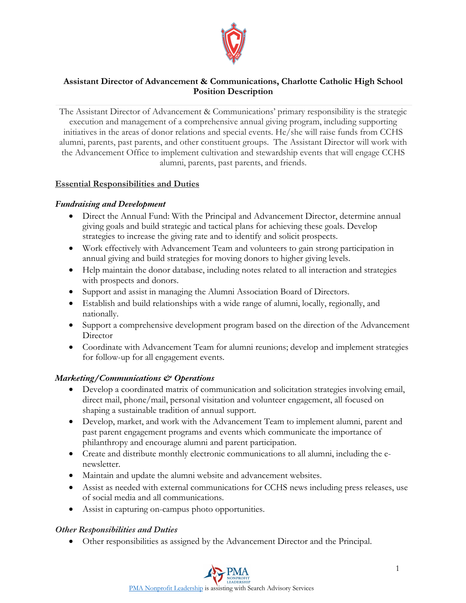

## **Assistant Director of Advancement & Communications, Charlotte Catholic High School Position Description**

The Assistant Director of Advancement & Communications' primary responsibility is the strategic execution and management of a comprehensive annual giving program, including supporting initiatives in the areas of donor relations and special events. He/she will raise funds from CCHS alumni, parents, past parents, and other constituent groups. The Assistant Director will work with the Advancement Office to implement cultivation and stewardship events that will engage CCHS alumni, parents, past parents, and friends.

## **Essential Responsibilities and Duties**

## *Fundraising and Development*

- Direct the Annual Fund: With the Principal and Advancement Director, determine annual giving goals and build strategic and tactical plans for achieving these goals. Develop strategies to increase the giving rate and to identify and solicit prospects.
- Work effectively with Advancement Team and volunteers to gain strong participation in annual giving and build strategies for moving donors to higher giving levels.
- Help maintain the donor database, including notes related to all interaction and strategies with prospects and donors.
- Support and assist in managing the Alumni Association Board of Directors.
- Establish and build relationships with a wide range of alumni, locally, regionally, and nationally.
- Support a comprehensive development program based on the direction of the Advancement **Director**
- Coordinate with Advancement Team for alumni reunions; develop and implement strategies for follow-up for all engagement events.

## *Marketing/Communications & Operations*

- Develop a coordinated matrix of communication and solicitation strategies involving email, direct mail, phone/mail, personal visitation and volunteer engagement, all focused on shaping a sustainable tradition of annual support.
- Develop, market, and work with the Advancement Team to implement alumni, parent and past parent engagement programs and events which communicate the importance of philanthropy and encourage alumni and parent participation.
- Create and distribute monthly electronic communications to all alumni, including the enewsletter.
- Maintain and update the alumni website and advancement websites.
- Assist as needed with external communications for CCHS news including press releases, use of social media and all communications.
- Assist in capturing on-campus photo opportunities.

#### *Other Responsibilities and Duties*

• Other responsibilities as assigned by the Advancement Director and the Principal.